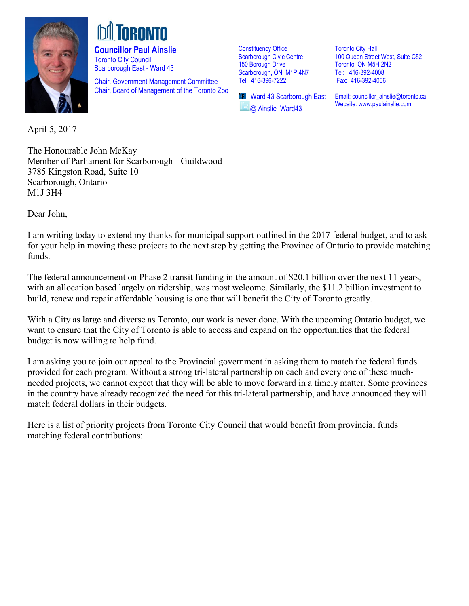

**Councillor Paul Ainslie**  Toronto City Council Scarborough East - Ward 43

Chair, Government Management Committee Chair, Board of Management of the Toronto Zoo Constituency Office Scarborough Civic Centre 150 Borough Drive Scarborough, ON M1P 4N7 Tel: 416-396-7222

**T** Ward 43 Scarborough East @ Ainslie\_Ward43

Toronto City Hall 100 Queen Street West, Suite C52 Toronto, ON M5H 2N2 Tel: 416-392-4008 Fax: 416-392-4006

Email: [councillor\\_ainslie@toronto.ca](mailto:councillor_ainslie@toronto.ca) Website[: www.paulainslie.com](http://www.paulainslie.com/)

April 5, 2017

The Honourable John McKay Member of Parliament for Scarborough - Guildwood 3785 Kingston Road, Suite 10 Scarborough, Ontario M1J 3H4

Dear John,

I am writing today to extend my thanks for municipal support outlined in the 2017 federal budget, and to ask for your help in moving these projects to the next step by getting the Province of Ontario to provide matching funds.

The federal announcement on Phase 2 transit funding in the amount of \$20.1 billion over the next 11 years, with an allocation based largely on ridership, was most welcome. Similarly, the \$11.2 billion investment to build, renew and repair affordable housing is one that will benefit the City of Toronto greatly.

With a City as large and diverse as Toronto, our work is never done. With the upcoming Ontario budget, we want to ensure that the City of Toronto is able to access and expand on the opportunities that the federal budget is now willing to help fund.

I am asking you to join our appeal to the Provincial government in asking them to match the federal funds provided for each program. Without a strong tri-lateral partnership on each and every one of these muchneeded projects, we cannot expect that they will be able to move forward in a timely matter. Some provinces in the country have already recognized the need for this tri-lateral partnership, and have announced they will match federal dollars in their budgets.

Here is a list of priority projects from Toronto City Council that would benefit from provincial funds matching federal contributions: